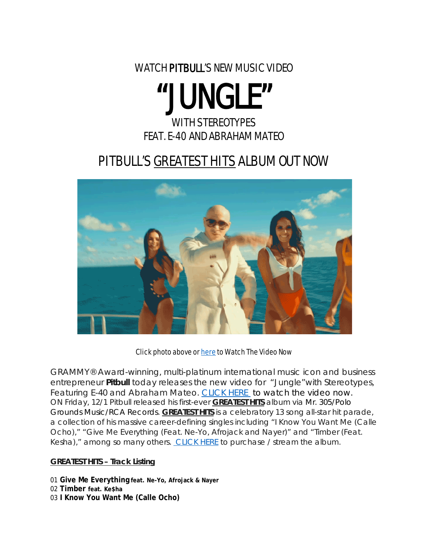WATCH PITBULL'S NEW MUSIC VIDEO

# "JUNGLE"

### WITH STEREOTYPES FEAT. E-40 AND ABRAHAM MATEO

## PITBULL'S GREATEST HITS ALBUM OUT NOW



#### Click photo above or [here](https://www.youtube.com/watch?v=ntxmg6-Z0qg) to Watch The Video Now

GRAMMY® Award-winning, multi-platinum international music icon and business entrepreneur **Pitbull** today releases the new video for "Jungle"with Stereotypes, Featuring E-40 and Abraham Mateo. [CLICK HERE](http://smarturl.it/pjunglev) to watch the video now. ON Friday, 12/1 Pitbull released his first-ever *GREATEST HITS* album via Mr. 305/Polo Grounds Music/RCA Records. *GREATEST HITS* is a celebratory 13 song all-star hit parade, a collection of his massive career-defining singles including "I Know You Want Me (Calle Ocho)," "Give Me Everything (Feat. Ne-Yo, Afrojack and Nayer)" and "Timber (Feat. Kesha)," among so many others. [CLICK HERE](http://smarturl.it/pgh) to purchase / stream the album.

#### **GREATEST HITS – Track Listing**

01 **Give Me Everything feat. Ne-Yo, Afrojack & Nayer** 02 **Timber feat. Ke\$ha** 03 **I Know You Want Me (Calle Ocho)**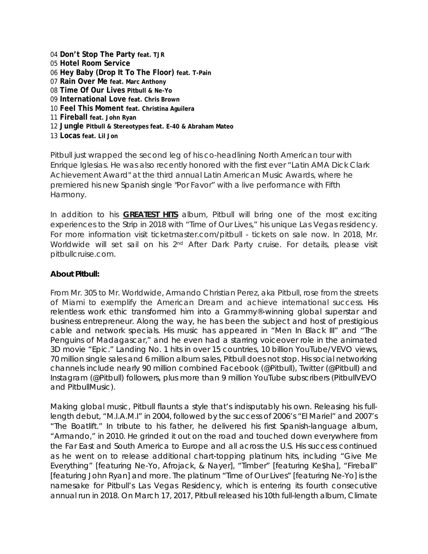**Don't Stop The Party feat. TJR Hotel Room Service Hey Baby (Drop It To The Floor) feat. T-Pain Rain Over Me feat. Marc Anthony Time Of Our Lives Pitbull & Ne-Yo International Love feat. Chris Brown Feel This Moment feat. Christina Aguilera Fireball feat. John Ryan Jungle Pitbull & Stereotypes feat. E-40 & Abraham Mateo Locas feat. Lil Jon**

Pitbull just wrapped the second leg of his co-headlining North American tour with Enrique Iglesias. He was also recently honored with the first ever "Latin AMA Dick Clark Achievement Award" at the third annual Latin American Music Awards, where he premiered his new Spanish single "Por Favor" with a live performance with Fifth Harmony.

In addition to his *GREATEST HITS* album, Pitbull will bring one of the most exciting experiences to the Strip in 2018 with "Time of Our Lives," his unique Las Vegas residency. For more information visit ticketmaster.com/pitbull - tickets on sale now. In 2018, Mr. Worldwide will set sail on his 2<sup>nd</sup> After Dark Party cruise. For details, please visit pitbullcruise.com.

#### **About Pitbull:**

From Mr. 305 to Mr. Worldwide, Armando Christian Perez, aka Pitbull, rose from the streets of Miami to exemplify the American Dream and achieve international success. His relentless work ethic transformed him into a Grammy®-winning global superstar and business entrepreneur. Along the way, he has been the subject and host of prestigious cable and network specials. His music has appeared in "*Men In Black III"* and "*The Penguins of Madagascar*," and he even had a starring voiceover role in the animated 3D movie "*Epic*." Landing No. 1 hits in over 15 countries, 10 billion YouTube/VEVO views, 70 million single sales and 6 million album sales, Pitbull does not stop. His social networking channels include nearly 90 million combined Facebook (@Pitbull), Twitter (@Pitbull) and Instagram (@Pitbull) followers, plus more than 9 million YouTube subscribers (PitbullVEVO and PitbullMusic).

Making global music, Pitbull flaunts a style that's indisputably his own. Releasing his fulllength debut, "M.I.A.M.I" in 2004, followed by the success of 2006's "El Mariel" and 2007's "The Boatlift." In tribute to his father, he delivered his first Spanish-language album, "Armando," in 2010. He grinded it out on the road and touched down everywhere from the Far East and South America to Europe and all across the U.S. His success continued as he went on to release additional chart-topping platinum hits, including "Give Me Everything" [featuring Ne-Yo, Afrojack, & Nayer], "Timber" [featuring Ke\$ha], "Fireball" [featuring John Ryan] and more. The platinum "Time of Our Lives" [featuring Ne-Yo] is the namesake for Pitbull's Las Vegas Residency, which is entering its fourth consecutive annual run in 2018. On March 17, 2017, Pitbull released his 10th full-length album, *Climate*